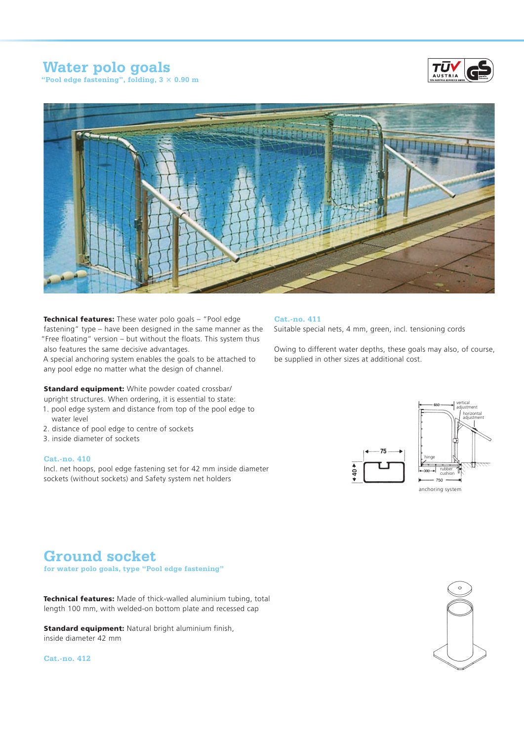## **Water polo goals**

**"Pool edge fastening", folding, 3 × 0.90 m**





Technical features: These water polo goals - "Pool edge fastening" type – have been designed in the same manner as the "Free floating" version – but without the floats. This system thus also features the same decisive advantages.

A special anchoring system enables the goals to be attached to any pool edge no matter what the design of channel.

**Standard equipment:** White powder coated crossbar/ upright structures. When ordering, it is essential to state:

- 1. pool edge system and distance from top of the pool edge to water level
- 2. distance of pool edge to centre of sockets
- 3. inside diameter of sockets

#### **Cat.-no. 410**

Incl. net hoops, pool edge fastening set for 42 mm inside diameter sockets (without sockets) and Safety system net holders

### **Cat.-no. 411**

Suitable special nets, 4 mm, green, incl. tensioning cords

Owing to different water depths, these goals may also, of course, be supplied in other sizes at additional cost.



#### anchoring system

## **Ground socket**

**for water polo goals, type "Pool edge fastening"** 

Technical features: Made of thick-walled aluminium tubing, total length 100 mm, with welded-on bottom plate and recessed cap

**Standard equipment:** Natural bright aluminium finish, inside diameter 42 mm

**Cat.-no. 412**

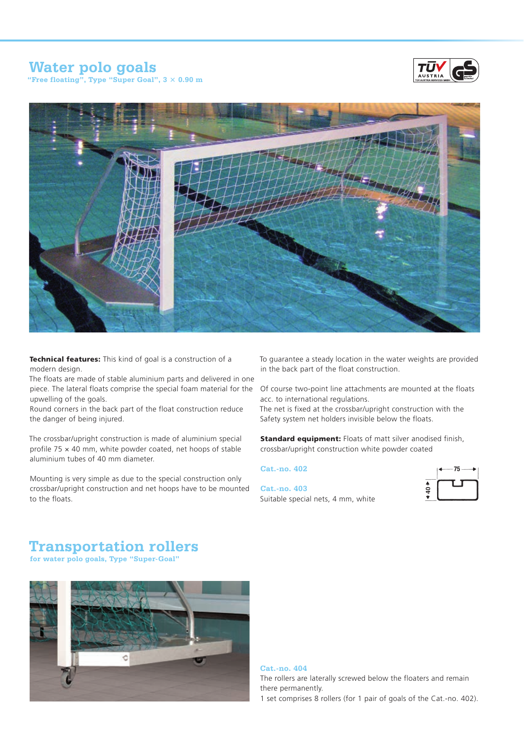# **Water polo goals**



**"Free floating", Type "Super Goal", 3 × 0.90 m**



Technical features: This kind of goal is a construction of a modern design.

The floats are made of stable aluminium parts and delivered in one piece. The lateral floats comprise the special foam material for the Of course two-point line attachments are mounted at the floats upwelling of the goals.

Round corners in the back part of the float construction reduce the danger of being injured.

The crossbar/upright construction is made of aluminium special profile 75 × 40 mm, white powder coated, net hoops of stable aluminium tubes of 40 mm diameter.

Mounting is very simple as due to the special construction only crossbar/upright construction and net hoops have to be mounted to the floats.

To guarantee a steady location in the water weights are provided in the back part of the float construction.

acc. to international regulations.

The net is fixed at the crossbar/upright construction with the Safety system net holders invisible below the floats.

**Standard equipment:** Floats of matt silver anodised finish, crossbar/upright construction white powder coated

### **Cat.-no. 402**

**Cat.-no. 403** Suitable special nets, 4 mm, white



## **Transportation rollers**

**for water polo goals, Type "Super-Goal"**



### **Cat.-no. 404**

The rollers are laterally screwed below the floaters and remain there permanently.

1 set comprises 8 rollers (for 1 pair of goals of the Cat.-no. 402).